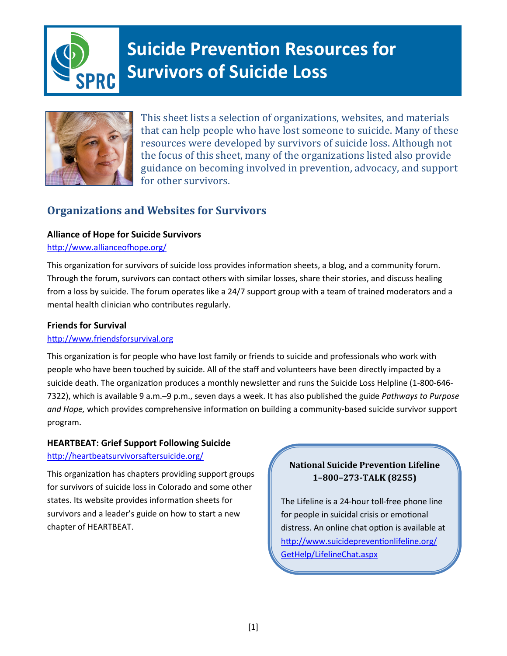

# **Suicide Prevention Resources for Survivors of Suicide Loss**



This sheet lists a selection of organizations, websites, and materials that can help people who have lost someone to suicide. Many of these resources were developed by survivors of suicide loss. Although not the focus of this sheet, many of the organizations listed also provide guidance on becoming involved in prevention, advocacy, and support for other survivors.

# **Organizations and Websites for Survivors**

# **Alliance of Hope for Suicide Survivors**

#### http://www.allianceofhope.org/

This organization for survivors of suicide loss provides information sheets, a blog, and a community forum. Through the forum, survivors can contact others with similar losses, share their stories, and discuss healing from a loss by suicide. The forum operates like a 24/7 support group with a team of trained moderators and a mental health clinician who contributes regularly.

## **Friends for Survival**

# http://www.friendsforsurvival.org

This organization is for people who have lost family or friends to suicide and professionals who work with people who have been touched by suicide. All of the staff and volunteers have been directly impacted by a suicide death. The organization produces a monthly newsletter and runs the Suicide Loss Helpline (1-800-646- 7322), which is available 9 a.m.–9 p.m., seven days a week. It has also published the guide *Pathways to Purpose and Hope,* which provides comprehensive information on building a community-based suicide survivor support program.

# **HEARTBEAT: Grief Support Following Suicide**

#### http://heartbeatsurvivorsaftersuicide.org/

This organization has chapters providing support groups for survivors of suicide loss in Colorado and some other states. Its website provides information sheets for survivors and a leader's guide on how to start a new chapter of HEARTBEAT.

# **National Suicide Prevention Lifeline 1–800–273-TALK (8255)**

The Lifeline is a 24-hour toll-free phone line for people in suicidal crisis or emotional distress. An online chat option is available at http://www.suicidepreventionlifeline.org/ GetHelp/LifelineChat.aspx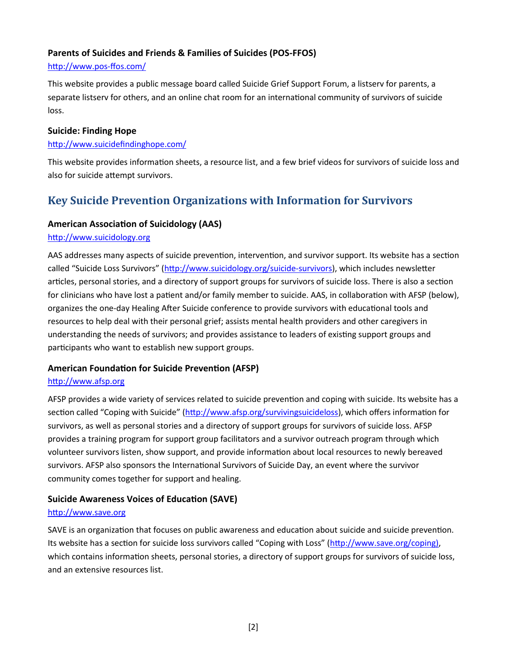#### **Parents of Suicides and Friends & Families of Suicides (POS-FFOS)**

#### http://www.pos-ffos.com/

This website provides a public message board called Suicide Grief Support Forum, a listserv for parents, a separate listserv for others, and an online chat room for an international community of survivors of suicide loss.

#### **Suicide: Finding Hope**

#### http://www.suicidefindinghope.com/

This website provides information sheets, a resource list, and a few brief videos for survivors of suicide loss and also for suicide attempt survivors.

# **Key Suicide Prevention Organizations with Information for Survivors**

## **American Association of Suicidology (AAS)**

#### http://www.suicidology.org

AAS addresses many aspects of suicide prevention, intervention, and survivor support. Its website has a section called "Suicide Loss Survivors" (http://www.suicidology.org/suicide-survivors), which includes newsletter articles, personal stories, and a directory of support groups for survivors of suicide loss. There is also a section for clinicians who have lost a patient and/or family member to suicide. AAS, in collaboration with AFSP (below), organizes the one-day Healing After Suicide conference to provide survivors with educational tools and resources to help deal with their personal grief; assists mental health providers and other caregivers in understanding the needs of survivors; and provides assistance to leaders of existing support groups and participants who want to establish new support groups.

#### **American Foundation for Suicide Prevention (AFSP)**

#### http://www.afsp.org

AFSP provides a wide variety of services related to suicide prevention and coping with suicide. Its website has a section called "Coping with Suicide" (http://www.afsp.org/survivingsuicideloss), which offers information for survivors, as well as personal stories and a directory of support groups for survivors of suicide loss. AFSP provides a training program for support group facilitators and a survivor outreach program through which volunteer survivors listen, show support, and provide information about local resources to newly bereaved survivors. AFSP also sponsors the International Survivors of Suicide Day, an event where the survivor community comes together for support and healing.

# **Suicide Awareness Voices of Education (SAVE)**

#### http://www.save.org

SAVE is an organization that focuses on public awareness and education about suicide and suicide prevention. Its website has a section for suicide loss survivors called "Coping with Loss" (http://www.save.org/coping), which contains information sheets, personal stories, a directory of support groups for survivors of suicide loss, and an extensive resources list.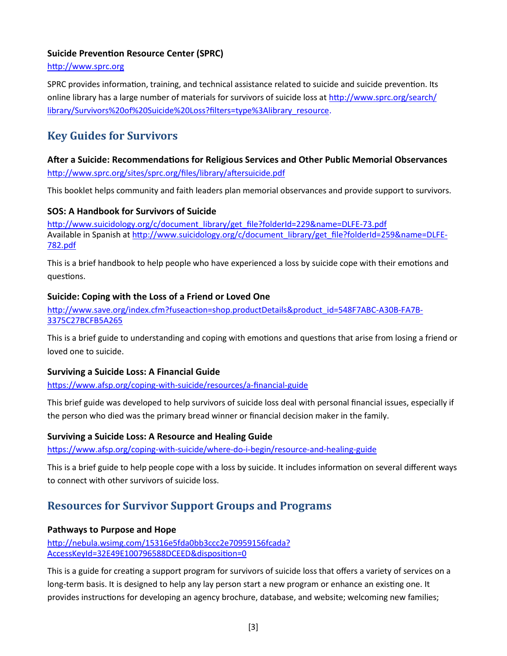#### **Suicide Prevention Resource Center (SPRC)**

#### http://www.sprc.org

SPRC provides information, training, and technical assistance related to suicide and suicide prevention. Its online library has a large number of materials for survivors of suicide loss at http://www.sprc.org/search/ library/Survivors%20of%20Suicide%20Loss?filters=type%3Alibrary\_resource.

# **Key Guides for Survivors**

# **After a Suicide: Recommendations for Religious Services and Other Public Memorial Observances** http://www.sprc.org/sites/sprc.org/files/library/aftersuicide.pdf

This booklet helps community and faith leaders plan memorial observances and provide support to survivors.

#### **SOS: A Handbook for Survivors of Suicide**

http://www.suicidology.org/c/document\_library/get\_file?folderId=229&name=DLFE-73.pdf Available in Spanish at http://www.suicidology.org/c/document\_library/get\_file?folderId=259&name=DLFE-782.pdf

This is a brief handbook to help people who have experienced a loss by suicide cope with their emotions and questions.

#### **Suicide: Coping with the Loss of a Friend or Loved One**

http://www.save.org/index.cfm?fuseaction=shop.productDetails&product\_id=548F7ABC-A30B-FA7B-3375C27BCFB5A265

This is a brief guide to understanding and coping with emotions and questions that arise from losing a friend or loved one to suicide.

#### **Surviving a Suicide Loss: A Financial Guide**

https://www.afsp.org/coping-with-suicide/resources/a-financial-guide

This brief guide was developed to help survivors of suicide loss deal with personal financial issues, especially if the person who died was the primary bread winner or financial decision maker in the family.

#### **Surviving a Suicide Loss: A Resource and Healing Guide**

https://www.afsp.org/coping-with-suicide/where-do-i-begin/resource-and-healing-guide

This is a brief guide to help people cope with a loss by suicide. It includes information on several different ways to connect with other survivors of suicide loss.

# **Resources for Survivor Support Groups and Programs**

#### **Pathways to Purpose and Hope**

http://nebula.wsimg.com/15316e5fda0bb3ccc2e70959156fcada? AccessKeyId=32E49E100796588DCEED&disposition=0

This is a guide for creating a support program for survivors of suicide loss that offers a variety of services on a long-term basis. It is designed to help any lay person start a new program or enhance an existing one. It provides instructions for developing an agency brochure, database, and website; welcoming new families;